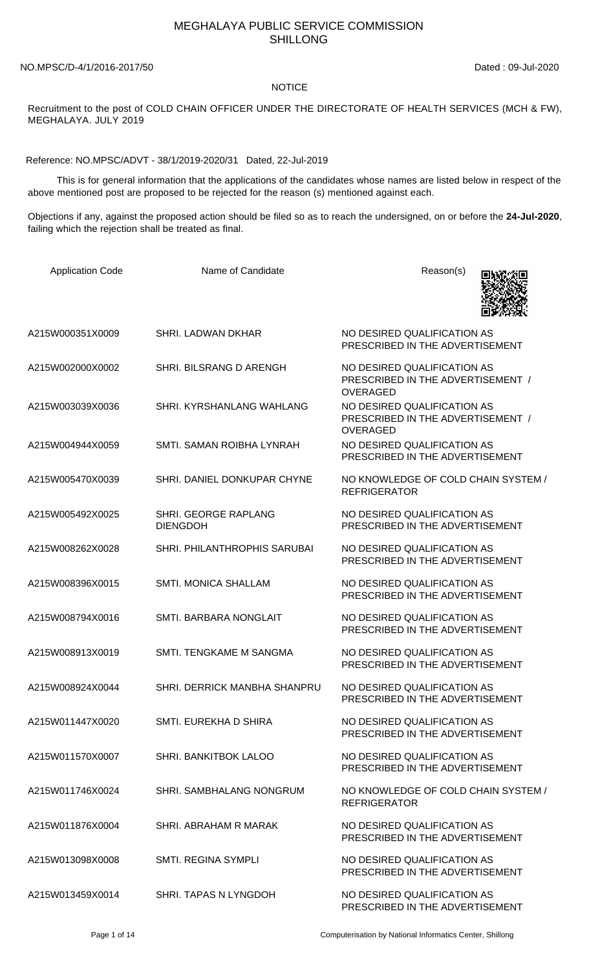## MEGHALAYA PUBLIC SERVICE COMMISSION SHILLONG

NO.MPSC/D-4/1/2016-2017/50 Dated : 09-Jul-2020

## NOTICE

Recruitment to the post of COLD CHAIN OFFICER UNDER THE DIRECTORATE OF HEALTH SERVICES (MCH & FW), MEGHALAYA. JULY 2019

Reference: NO.MPSC/ADVT - 38/1/2019-2020/31 Dated, 22-Jul-2019

 This is for general information that the applications of the candidates whose names are listed below in respect of the above mentioned post are proposed to be rejected for the reason (s) mentioned against each.

Objections if any, against the proposed action should be filed so as to reach the undersigned, on or before the **24-Jul-2020**, failing which the rejection shall be treated as final.

| <b>Application Code</b> | Name of Candidate                       | Reason(s)                                                                           |
|-------------------------|-----------------------------------------|-------------------------------------------------------------------------------------|
| A215W000351X0009        | SHRI. LADWAN DKHAR                      | NO DESIRED QUALIFICATION AS<br>PRESCRIBED IN THE ADVERTISEMENT                      |
| A215W002000X0002        | SHRI. BILSRANG D ARENGH                 | NO DESIRED QUALIFICATION AS<br>PRESCRIBED IN THE ADVERTISEMENT /<br><b>OVERAGED</b> |
| A215W003039X0036        | SHRI, KYRSHANLANG WAHLANG               | NO DESIRED QUALIFICATION AS<br>PRESCRIBED IN THE ADVERTISEMENT /<br><b>OVERAGED</b> |
| A215W004944X0059        | SMTI. SAMAN ROIBHA LYNRAH               | NO DESIRED QUALIFICATION AS<br>PRESCRIBED IN THE ADVERTISEMENT                      |
| A215W005470X0039        | SHRI. DANIEL DONKUPAR CHYNE             | NO KNOWLEDGE OF COLD CHAIN SYSTEM /<br><b>REFRIGERATOR</b>                          |
| A215W005492X0025        | SHRI. GEORGE RAPLANG<br><b>DIENGDOH</b> | NO DESIRED QUALIFICATION AS<br>PRESCRIBED IN THE ADVERTISEMENT                      |
| A215W008262X0028        | SHRI. PHILANTHROPHIS SARUBAI            | NO DESIRED QUALIFICATION AS<br>PRESCRIBED IN THE ADVERTISEMENT                      |
| A215W008396X0015        | <b>SMTI. MONICA SHALLAM</b>             | NO DESIRED QUALIFICATION AS<br>PRESCRIBED IN THE ADVERTISEMENT                      |
| A215W008794X0016        | SMTI. BARBARA NONGLAIT                  | NO DESIRED QUALIFICATION AS<br>PRESCRIBED IN THE ADVERTISEMENT                      |
| A215W008913X0019        | SMTI. TENGKAME M SANGMA                 | NO DESIRED QUALIFICATION AS<br>PRESCRIBED IN THE ADVERTISEMENT                      |
| A215W008924X0044        | SHRI. DERRICK MANBHA SHANPRU            | NO DESIRED QUALIFICATION AS<br>PRESCRIBED IN THE ADVERTISEMENT                      |
| A215W011447X0020        | SMTI. EUREKHA D SHIRA                   | NO DESIRED QUALIFICATION AS<br>PRESCRIBED IN THE ADVERTISEMENT                      |
| A215W011570X0007        | SHRI. BANKITBOK LALOO                   | NO DESIRED QUALIFICATION AS<br>PRESCRIBED IN THE ADVERTISEMENT                      |
| A215W011746X0024        | SHRI. SAMBHALANG NONGRUM                | NO KNOWLEDGE OF COLD CHAIN SYSTEM /<br><b>REFRIGERATOR</b>                          |
| A215W011876X0004        | SHRI. ABRAHAM R MARAK                   | NO DESIRED QUALIFICATION AS<br>PRESCRIBED IN THE ADVERTISEMENT                      |
| A215W013098X0008        | <b>SMTI. REGINA SYMPLI</b>              | NO DESIRED QUALIFICATION AS<br>PRESCRIBED IN THE ADVERTISEMENT                      |
| A215W013459X0014        | SHRI. TAPAS N LYNGDOH                   | NO DESIRED QUALIFICATION AS<br>PRESCRIBED IN THE ADVERTISEMENT                      |

Page 1 of 14 Computerisation by National Informatics Center, Shillong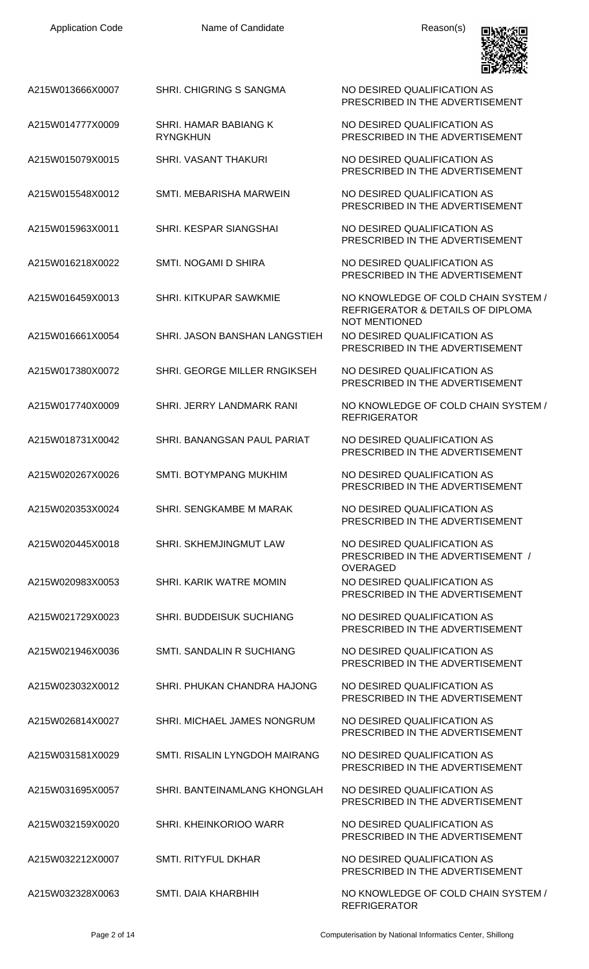

A215W013666X0007 SHRI. CHIGRING S SANGMA NO DESIRED QUALIFICATION AS

A215W014777X0009 SHRI. HAMAR BABIANG K RYNGKHUN

- A215W015079X0015 SHRI. VASANT THAKURI NO DESIRED QUALIFICATION AS
- A215W015548X0012 SMTI. MEBARISHA MARWEIN NO DESIRED QUALIFICATION AS
- A215W015963X0011 SHRI. KESPAR SIANGSHAI NO DESIRED QUALIFICATION AS
- A215W016218X0022 SMTI. NOGAMI D SHIRA NO DESIRED QUALIFICATION AS
- A215W016459X0013 SHRI. KITKUPAR SAWKMIE NO KNOWLEDGE OF COLD CHAIN SYSTEM /
- A215W016661X0054 SHRI. JASON BANSHAN LANGSTIEH NO DESIRED QUALIFICATION AS
- A215W017380X0072 SHRI. GEORGE MILLER RNGIKSEH NO DESIRED QUALIFICATION AS
- A215W017740X0009 SHRI. JERRY LANDMARK RANI NO KNOWLEDGE OF COLD CHAIN SYSTEM /
- A215W018731X0042 SHRI. BANANGSAN PAUL PARIAT NO DESIRED QUALIFICATION AS
- A215W020267X0026 SMTI. BOTYMPANG MUKHIM NO DESIRED QUALIFICATION AS
- A215W020353X0024 SHRI. SENGKAMBE M MARAK NO DESIRED QUALIFICATION AS
- A215W020445X0018 SHRI. SKHEMJINGMUT LAW NO DESIRED QUALIFICATION AS
- A215W020983X0053 SHRI. KARIK WATRE MOMIN NO DESIRED QUALIFICATION AS
- A215W021729X0023 SHRI. BUDDEISUK SUCHIANG NO DESIRED QUALIFICATION AS
- A215W021946X0036 SMTI. SANDALIN R SUCHIANG NO DESIRED QUALIFICATION AS
- A215W023032X0012 SHRI. PHUKAN CHANDRA HAJONG NO DESIRED QUALIFICATION AS
- A215W026814X0027 SHRI. MICHAEL JAMES NONGRUM NO DESIRED QUALIFICATION AS
- A215W031581X0029 SMTI. RISALIN LYNGDOH MAIRANG NO DESIRED QUALIFICATION AS
- A215W031695X0057 SHRI. BANTEINAMLANG KHONGLAH NO DESIRED QUALIFICATION AS
- A215W032159X0020 SHRI. KHEINKORIOO WARR NO DESIRED QUALIFICATION AS
- A215W032212X0007 SMTI. RITYFUL DKHAR NO DESIRED QUALIFICATION AS

PRESCRIBED IN THE ADVERTISEMENT

NO DESIRED QUALIFICATION AS PRESCRIBED IN THE ADVERTISEMENT

PRESCRIBED IN THE ADVERTISEMENT

PRESCRIBED IN THE ADVERTISEMENT

PRESCRIBED IN THE ADVERTISEMENT

PRESCRIBED IN THE ADVERTISEMENT

REFRIGERATOR & DETAILS OF DIPLOMA NOT MENTIONED PRESCRIBED IN THE ADVERTISEMENT

PRESCRIBED IN THE ADVERTISEMENT

REFRIGERATOR

PRESCRIBED IN THE ADVERTISEMENT

PRESCRIBED IN THE ADVERTISEMENT

PRESCRIBED IN THE ADVERTISEMENT

PRESCRIBED IN THE ADVERTISEMENT / OVERAGED

PRESCRIBED IN THE ADVERTISEMENT

PRESCRIBED IN THE ADVERTISEMENT

PRESCRIBED IN THE ADVERTISEMENT

PRESCRIBED IN THE ADVERTISEMENT

PRESCRIBED IN THE ADVERTISEMENT

PRESCRIBED IN THE ADVERTISEMENT

PRESCRIBED IN THE ADVERTISEMENT

PRESCRIBED IN THE ADVERTISEMENT

PRESCRIBED IN THE ADVERTISEMENT

A215W032328X0063 SMTI. DAIA KHARBHIH NO KNOWLEDGE OF COLD CHAIN SYSTEM / REFRIGERATOR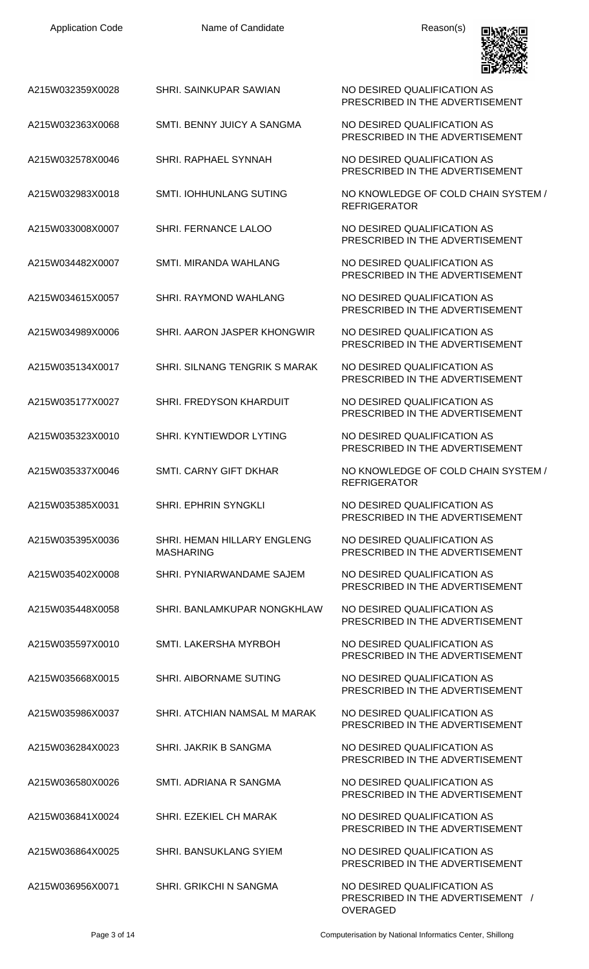| <b>Application Code</b> | Name of Candidate                               | Reason(s)                                                        |
|-------------------------|-------------------------------------------------|------------------------------------------------------------------|
| A215W032359X0028        | SHRI. SAINKUPAR SAWIAN                          | NO DESIRED QUALIFICATION AS<br>PRESCRIBED IN THE ADVERTISEMENT   |
| A215W032363X0068        | SMTI, BENNY JUICY A SANGMA                      | NO DESIRED QUALIFICATION AS<br>PRESCRIBED IN THE ADVERTISEMENT   |
| A215W032578X0046        | SHRI. RAPHAEL SYNNAH                            | NO DESIRED QUALIFICATION AS<br>PRESCRIBED IN THE ADVERTISEMENT   |
| A215W032983X0018        | <b>SMTI. IOHHUNLANG SUTING</b>                  | NO KNOWLEDGE OF COLD CHAIN SYSTEM /<br><b>REFRIGERATOR</b>       |
| A215W033008X0007        | <b>SHRI. FERNANCE LALOO</b>                     | NO DESIRED QUALIFICATION AS<br>PRESCRIBED IN THE ADVERTISEMENT   |
| A215W034482X0007        | SMTI. MIRANDA WAHLANG                           | NO DESIRED QUALIFICATION AS<br>PRESCRIBED IN THE ADVERTISEMENT   |
| A215W034615X0057        | <b>SHRI. RAYMOND WAHLANG</b>                    | NO DESIRED QUALIFICATION AS<br>PRESCRIBED IN THE ADVERTISEMENT   |
| A215W034989X0006        | SHRI. AARON JASPER KHONGWIR                     | NO DESIRED QUALIFICATION AS<br>PRESCRIBED IN THE ADVERTISEMENT   |
| A215W035134X0017        | <b>SHRI. SILNANG TENGRIK S MARAK</b>            | NO DESIRED QUALIFICATION AS<br>PRESCRIBED IN THE ADVERTISEMENT   |
| A215W035177X0027        | SHRI. FREDYSON KHARDUIT                         | NO DESIRED QUALIFICATION AS<br>PRESCRIBED IN THE ADVERTISEMENT   |
| A215W035323X0010        | SHRI. KYNTIEWDOR LYTING                         | NO DESIRED QUALIFICATION AS<br>PRESCRIBED IN THE ADVERTISEMENT   |
| A215W035337X0046        | <b>SMTI. CARNY GIFT DKHAR</b>                   | NO KNOWLEDGE OF COLD CHAIN SYSTEM /<br><b>REFRIGERATOR</b>       |
| A215W035385X0031        | SHRI. EPHRIN SYNGKLI                            | NO DESIRED QUALIFICATION AS<br>PRESCRIBED IN THE ADVERTISEMENT   |
| A215W035395X0036        | SHRI. HEMAN HILLARY ENGLENG<br><b>MASHARING</b> | NO DESIRED QUALIFICATION AS<br>PRESCRIBED IN THE ADVERTISEMENT   |
| A215W035402X0008        | SHRI. PYNIARWANDAME SAJEM                       | NO DESIRED QUALIFICATION AS<br>PRESCRIBED IN THE ADVERTISEMENT   |
| A215W035448X0058        | SHRI. BANLAMKUPAR NONGKHLAW                     | NO DESIRED QUALIFICATION AS<br>PRESCRIBED IN THE ADVERTISEMENT   |
| A215W035597X0010        | SMTI. LAKERSHA MYRBOH                           | NO DESIRED QUALIFICATION AS<br>PRESCRIBED IN THE ADVERTISEMENT   |
| A215W035668X0015        | SHRI. AIBORNAME SUTING                          | NO DESIRED QUALIFICATION AS<br>PRESCRIBED IN THE ADVERTISEMENT   |
| A215W035986X0037        | SHRI. ATCHIAN NAMSAL M MARAK                    | NO DESIRED QUALIFICATION AS<br>PRESCRIBED IN THE ADVERTISEMENT   |
| A215W036284X0023        | SHRI. JAKRIK B SANGMA                           | NO DESIRED QUALIFICATION AS<br>PRESCRIBED IN THE ADVERTISEMENT   |
| A215W036580X0026        | SMTI. ADRIANA R SANGMA                          | NO DESIRED QUALIFICATION AS<br>PRESCRIBED IN THE ADVERTISEMENT   |
| A215W036841X0024        | SHRI. EZEKIEL CH MARAK                          | NO DESIRED QUALIFICATION AS<br>PRESCRIBED IN THE ADVERTISEMENT   |
| A215W036864X0025        | <b>SHRI. BANSUKLANG SYIEM</b>                   | NO DESIRED QUALIFICATION AS<br>PRESCRIBED IN THE ADVERTISEMENT   |
| A215W036956X0071        | SHRI. GRIKCHI N SANGMA                          | NO DESIRED QUALIFICATION AS<br>PRESCRIBED IN THE ADVERTISEMENT / |

OVERAGED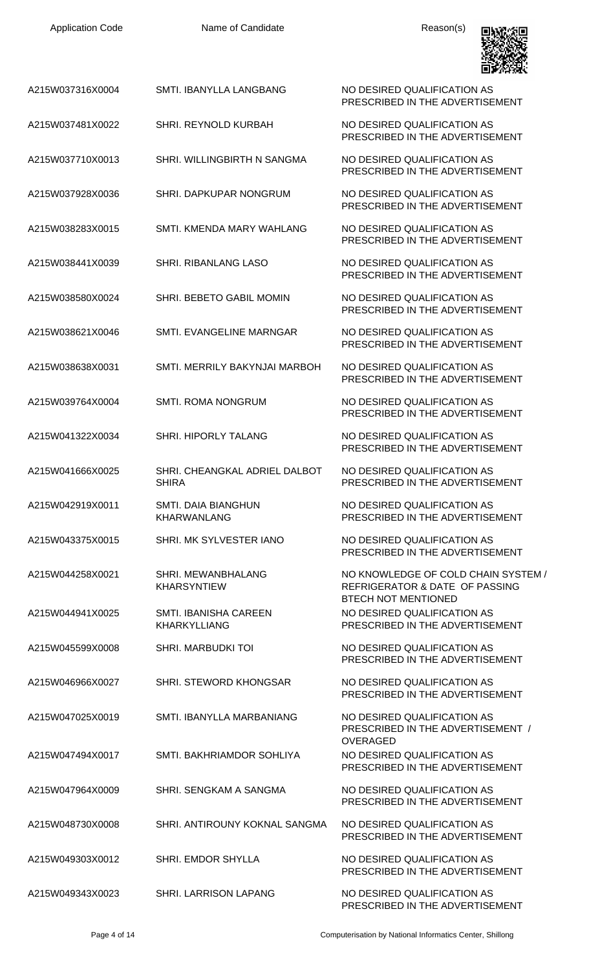| <b>Application Code</b> | Name of Candidate                                   | Reason(s)                                                                                           |
|-------------------------|-----------------------------------------------------|-----------------------------------------------------------------------------------------------------|
| A215W037316X0004        | SMTI. IBANYLLA LANGBANG                             | NO DESIRED QUALIFICATION AS<br>PRESCRIBED IN THE ADVERTISEMENT                                      |
| A215W037481X0022        | SHRI. REYNOLD KURBAH                                | NO DESIRED QUALIFICATION AS<br>PRESCRIBED IN THE ADVERTISEMENT                                      |
| A215W037710X0013        | SHRI. WILLINGBIRTH N SANGMA                         | NO DESIRED QUALIFICATION AS<br>PRESCRIBED IN THE ADVERTISEMENT                                      |
| A215W037928X0036        | SHRI. DAPKUPAR NONGRUM                              | NO DESIRED QUALIFICATION AS<br>PRESCRIBED IN THE ADVERTISEMENT                                      |
| A215W038283X0015        | SMTI. KMENDA MARY WAHLANG                           | NO DESIRED QUALIFICATION AS<br>PRESCRIBED IN THE ADVERTISEMENT                                      |
| A215W038441X0039        | SHRI. RIBANLANG LASO                                | NO DESIRED QUALIFICATION AS<br>PRESCRIBED IN THE ADVERTISEMENT                                      |
| A215W038580X0024        | SHRI. BEBETO GABIL MOMIN                            | NO DESIRED QUALIFICATION AS<br>PRESCRIBED IN THE ADVERTISEMENT                                      |
| A215W038621X0046        | SMTI. EVANGELINE MARNGAR                            | NO DESIRED QUALIFICATION AS<br>PRESCRIBED IN THE ADVERTISEMENT                                      |
| A215W038638X0031        | SMTI. MERRILY BAKYNJAI MARBOH                       | NO DESIRED QUALIFICATION AS<br>PRESCRIBED IN THE ADVERTISEMENT                                      |
| A215W039764X0004        | SMTI. ROMA NONGRUM                                  | NO DESIRED QUALIFICATION AS<br>PRESCRIBED IN THE ADVERTISEMENT                                      |
| A215W041322X0034        | SHRI. HIPORLY TALANG                                | NO DESIRED QUALIFICATION AS<br>PRESCRIBED IN THE ADVERTISEMENT                                      |
| A215W041666X0025        | SHRI. CHEANGKAL ADRIEL DALBOT<br><b>SHIRA</b>       | NO DESIRED QUALIFICATION AS<br>PRESCRIBED IN THE ADVERTISEMENT                                      |
| A215W042919X0011        | SMTL DAIA BIANGHUN<br><b>KHARWANLANG</b>            | NO DESIRED QUALIFICATION AS<br>PRESCRIBED IN THE ADVERTISEMENT                                      |
| A215W043375X0015        | SHRI. MK SYLVESTER IANO                             | NO DESIRED QUALIFICATION AS<br>PRESCRIBED IN THE ADVERTISEMENT                                      |
| A215W044258X0021        | SHRI. MEWANBHALANG<br><b>KHARSYNTIEW</b>            | NO KNOWLEDGE OF COLD CHAIN SYSTEM /<br>REFRIGERATOR & DATE OF PASSING<br><b>BTECH NOT MENTIONED</b> |
| A215W044941X0025        | <b>SMTI. IBANISHA CAREEN</b><br><b>KHARKYLLIANG</b> | NO DESIRED QUALIFICATION AS<br>PRESCRIBED IN THE ADVERTISEMENT                                      |
| A215W045599X0008        | <b>SHRI. MARBUDKI TOI</b>                           | NO DESIRED QUALIFICATION AS<br>PRESCRIBED IN THE ADVERTISEMENT                                      |
| A215W046966X0027        | <b>SHRI. STEWORD KHONGSAR</b>                       | NO DESIRED QUALIFICATION AS<br>PRESCRIBED IN THE ADVERTISEMENT                                      |
| A215W047025X0019        | SMTI. IBANYLLA MARBANIANG                           | NO DESIRED QUALIFICATION AS<br>PRESCRIBED IN THE ADVERTISEMENT /<br><b>OVERAGED</b>                 |
| A215W047494X0017        | SMTI. BAKHRIAMDOR SOHLIYA                           | NO DESIRED QUALIFICATION AS<br>PRESCRIBED IN THE ADVERTISEMENT                                      |
| A215W047964X0009        | SHRI. SENGKAM A SANGMA                              | NO DESIRED QUALIFICATION AS<br>PRESCRIBED IN THE ADVERTISEMENT                                      |
| A215W048730X0008        | SHRI. ANTIROUNY KOKNAL SANGMA                       | NO DESIRED QUALIFICATION AS<br>PRESCRIBED IN THE ADVERTISEMENT                                      |
| A215W049303X0012        | <b>SHRI. EMDOR SHYLLA</b>                           | NO DESIRED QUALIFICATION AS<br>PRESCRIBED IN THE ADVERTISEMENT                                      |
| A215W049343X0023        | SHRI. LARRISON LAPANG                               | NO DESIRED QUALIFICATION AS<br>PRESCRIBED IN THE ADVERTISEMENT                                      |

Page 4 of 14 Computerisation by National Informatics Center, Shillong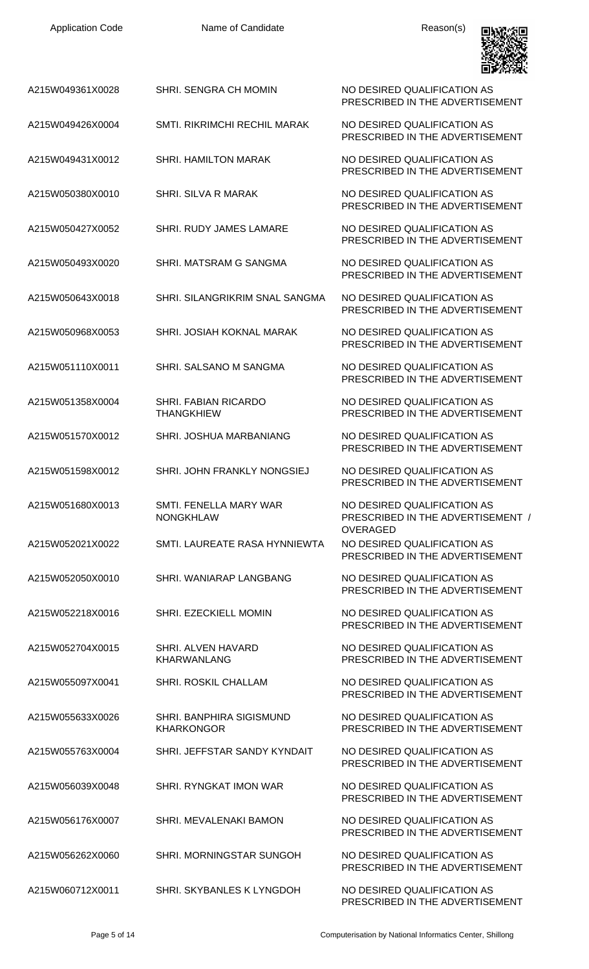| <b>Application Code</b> | Name of Candidate                             | Reason(s)                                                                    |
|-------------------------|-----------------------------------------------|------------------------------------------------------------------------------|
| A215W049361X0028        | SHRI, SENGRA CH MOMIN                         | NO DESIRED QUALIFICATION AS<br>PRESCRIBED IN THE ADVERTISEMENT               |
| A215W049426X0004        | <b>SMTI. RIKRIMCHI RECHIL MARAK</b>           | NO DESIRED QUALIFICATION AS<br>PRESCRIBED IN THE ADVERTISEMENT               |
| A215W049431X0012        | <b>SHRI. HAMILTON MARAK</b>                   | NO DESIRED QUALIFICATION AS<br>PRESCRIBED IN THE ADVERTISEMENT               |
| A215W050380X0010        | SHRI. SILVA R MARAK                           | NO DESIRED QUALIFICATION AS<br>PRESCRIBED IN THE ADVERTISEMENT               |
| A215W050427X0052        | <b>SHRI. RUDY JAMES LAMARE</b>                | NO DESIRED QUALIFICATION AS<br>PRESCRIBED IN THE ADVERTISEMENT               |
| A215W050493X0020        | SHRI, MATSRAM G SANGMA                        | NO DESIRED QUALIFICATION AS<br>PRESCRIBED IN THE ADVERTISEMENT               |
| A215W050643X0018        | SHRI. SILANGRIKRIM SNAL SANGMA                | NO DESIRED QUALIFICATION AS<br>PRESCRIBED IN THE ADVERTISEMENT               |
| A215W050968X0053        | SHRI. JOSIAH KOKNAL MARAK                     | NO DESIRED QUALIFICATION AS<br>PRESCRIBED IN THE ADVERTISEMENT               |
| A215W051110X0011        | SHRI, SALSANO M SANGMA                        | NO DESIRED QUALIFICATION AS<br>PRESCRIBED IN THE ADVERTISEMENT               |
| A215W051358X0004        | SHRI. FABIAN RICARDO<br><b>THANGKHIEW</b>     | NO DESIRED QUALIFICATION AS<br>PRESCRIBED IN THE ADVERTISEMENT               |
| A215W051570X0012        | SHRI. JOSHUA MARBANIANG                       | NO DESIRED QUALIFICATION AS<br>PRESCRIBED IN THE ADVERTISEMENT               |
| A215W051598X0012        | SHRI. JOHN FRANKLY NONGSIEJ                   | NO DESIRED QUALIFICATION AS<br>PRESCRIBED IN THE ADVERTISEMENT               |
| A215W051680X0013        | SMTI. FENELLA MARY WAR<br><b>NONGKHLAW</b>    | NO DESIRED QUALIFICATION AS<br>PRESCRIBED IN THE ADVERTISEMENT /<br>OVERAGED |
| A215W052021X0022        | SMTI. LAUREATE RASA HYNNIEWTA                 | NO DESIRED QUALIFICATION AS<br>PRESCRIBED IN THE ADVERTISEMENT               |
| A215W052050X0010        | SHRI. WANIARAP LANGBANG                       | NO DESIRED QUALIFICATION AS<br>PRESCRIBED IN THE ADVERTISEMENT               |
| A215W052218X0016        | SHRI. EZECKIELL MOMIN                         | NO DESIRED QUALIFICATION AS<br>PRESCRIBED IN THE ADVERTISEMENT               |
| A215W052704X0015        | SHRI. ALVEN HAVARD<br><b>KHARWANLANG</b>      | NO DESIRED QUALIFICATION AS<br>PRESCRIBED IN THE ADVERTISEMENT               |
| A215W055097X0041        | <b>SHRI. ROSKIL CHALLAM</b>                   | NO DESIRED QUALIFICATION AS<br>PRESCRIBED IN THE ADVERTISEMENT               |
| A215W055633X0026        | SHRI. BANPHIRA SIGISMUND<br><b>KHARKONGOR</b> | NO DESIRED QUALIFICATION AS<br>PRESCRIBED IN THE ADVERTISEMENT               |
| A215W055763X0004        | SHRI. JEFFSTAR SANDY KYNDAIT                  | NO DESIRED QUALIFICATION AS<br>PRESCRIBED IN THE ADVERTISEMENT               |
| A215W056039X0048        | SHRI. RYNGKAT IMON WAR                        | NO DESIRED QUALIFICATION AS<br>PRESCRIBED IN THE ADVERTISEMENT               |
| A215W056176X0007        | <b>SHRI, MEVALENAKI BAMON</b>                 | NO DESIRED QUALIFICATION AS<br>PRESCRIBED IN THE ADVERTISEMENT               |
| A215W056262X0060        | SHRI. MORNINGSTAR SUNGOH                      | NO DESIRED QUALIFICATION AS<br>PRESCRIBED IN THE ADVERTISEMENT               |
| A215W060712X0011        | SHRI. SKYBANLES K LYNGDOH                     | NO DESIRED QUALIFICATION AS                                                  |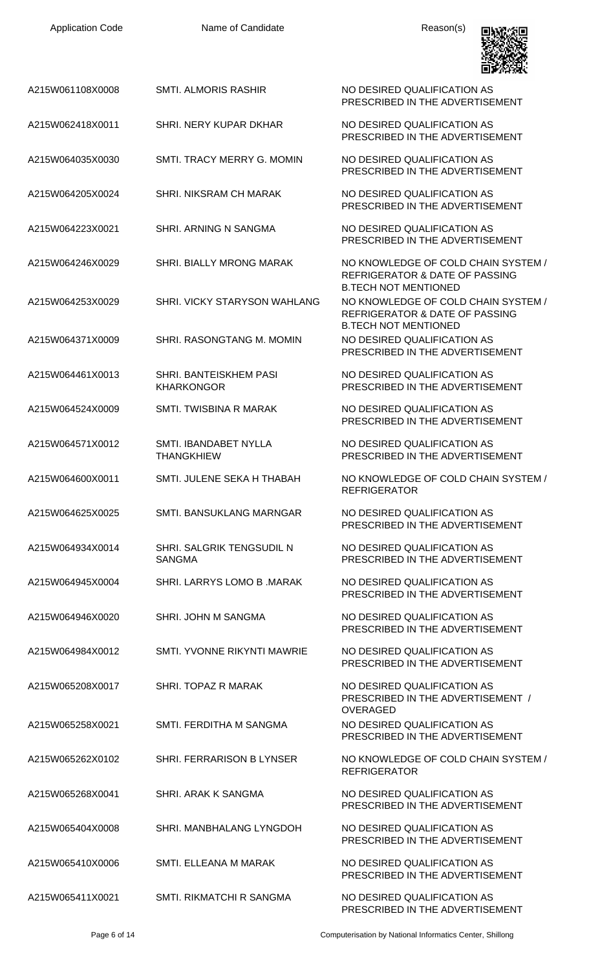| <b>Application Code</b> | Name of Candidate                                 | Reason(s)                                                                                                       |
|-------------------------|---------------------------------------------------|-----------------------------------------------------------------------------------------------------------------|
| A215W061108X0008        | <b>SMTI. ALMORIS RASHIR</b>                       | NO DESIRED QUALIFICATION AS<br>PRESCRIBED IN THE ADVERTISEMENT                                                  |
| A215W062418X0011        | SHRI. NERY KUPAR DKHAR                            | NO DESIRED QUALIFICATION AS<br>PRESCRIBED IN THE ADVERTISEMENT                                                  |
| A215W064035X0030        | SMTI, TRACY MERRY G. MOMIN                        | NO DESIRED QUALIFICATION AS<br>PRESCRIBED IN THE ADVERTISEMENT                                                  |
| A215W064205X0024        | SHRI. NIKSRAM CH MARAK                            | NO DESIRED QUALIFICATION AS<br>PRESCRIBED IN THE ADVERTISEMENT                                                  |
| A215W064223X0021        | SHRI. ARNING N SANGMA                             | NO DESIRED QUALIFICATION AS<br>PRESCRIBED IN THE ADVERTISEMENT                                                  |
| A215W064246X0029        | <b>SHRI. BIALLY MRONG MARAK</b>                   | NO KNOWLEDGE OF COLD CHAIN SYSTEM /<br><b>REFRIGERATOR &amp; DATE OF PASSING</b><br><b>B.TECH NOT MENTIONED</b> |
| A215W064253X0029        | SHRI. VICKY STARYSON WAHLANG                      | NO KNOWLEDGE OF COLD CHAIN SYSTEM /<br><b>REFRIGERATOR &amp; DATE OF PASSING</b>                                |
| A215W064371X0009        | SHRI. RASONGTANG M. MOMIN                         | <b>B.TECH NOT MENTIONED</b><br>NO DESIRED QUALIFICATION AS<br>PRESCRIBED IN THE ADVERTISEMENT                   |
| A215W064461X0013        | SHRI. BANTEISKHEM PASI<br><b>KHARKONGOR</b>       | NO DESIRED QUALIFICATION AS<br>PRESCRIBED IN THE ADVERTISEMENT                                                  |
| A215W064524X0009        | SMTI. TWISBINA R MARAK                            | NO DESIRED QUALIFICATION AS<br>PRESCRIBED IN THE ADVERTISEMENT                                                  |
| A215W064571X0012        | <b>SMTI. IBANDABET NYLLA</b><br><b>THANGKHIEW</b> | NO DESIRED QUALIFICATION AS<br>PRESCRIBED IN THE ADVERTISEMENT                                                  |
| A215W064600X0011        | SMTI. JULENE SEKA H THABAH                        | NO KNOWLEDGE OF COLD CHAIN SYSTEM /<br><b>REFRIGERATOR</b>                                                      |
| A215W064625X0025        | <b>SMTI. BANSUKLANG MARNGAR</b>                   | NO DESIRED QUALIFICATION AS<br>PRESCRIBED IN THE ADVERTISEMENT                                                  |
| A215W064934X0014        | SHRI. SALGRIK TENGSUDIL N<br><b>SANGMA</b>        | NO DESIRED QUALIFICATION AS<br>PRESCRIBED IN THE ADVERTISEMENT                                                  |
| A215W064945X0004        | SHRI. LARRYS LOMO B. MARAK                        | NO DESIRED QUALIFICATION AS<br>PRESCRIBED IN THE ADVERTISEMENT                                                  |
| A215W064946X0020        | SHRI. JOHN M SANGMA                               | NO DESIRED QUALIFICATION AS<br>PRESCRIBED IN THE ADVERTISEMENT                                                  |
| A215W064984X0012        | SMTI. YVONNE RIKYNTI MAWRIE                       | NO DESIRED QUALIFICATION AS<br>PRESCRIBED IN THE ADVERTISEMENT                                                  |
| A215W065208X0017        | SHRI. TOPAZ R MARAK                               | NO DESIRED QUALIFICATION AS<br>PRESCRIBED IN THE ADVERTISEMENT /<br><b>OVERAGED</b>                             |
| A215W065258X0021        | SMTI. FERDITHA M SANGMA                           | NO DESIRED QUALIFICATION AS<br>PRESCRIBED IN THE ADVERTISEMENT                                                  |
| A215W065262X0102        | SHRI. FERRARISON B LYNSER                         | NO KNOWLEDGE OF COLD CHAIN SYSTEM /<br><b>REFRIGERATOR</b>                                                      |
| A215W065268X0041        | SHRI. ARAK K SANGMA                               | NO DESIRED QUALIFICATION AS<br>PRESCRIBED IN THE ADVERTISEMENT                                                  |
| A215W065404X0008        | SHRI, MANBHALANG LYNGDOH                          | NO DESIRED QUALIFICATION AS<br>PRESCRIBED IN THE ADVERTISEMENT                                                  |
| A215W065410X0006        | SMTI. ELLEANA M MARAK                             | NO DESIRED QUALIFICATION AS<br>PRESCRIBED IN THE ADVERTISEMENT                                                  |
| A215W065411X0021        | SMTI. RIKMATCHI R SANGMA                          | NO DESIRED QUALIFICATION AS                                                                                     |

Page 6 of 14 Computerisation by National Informatics Center, Shillong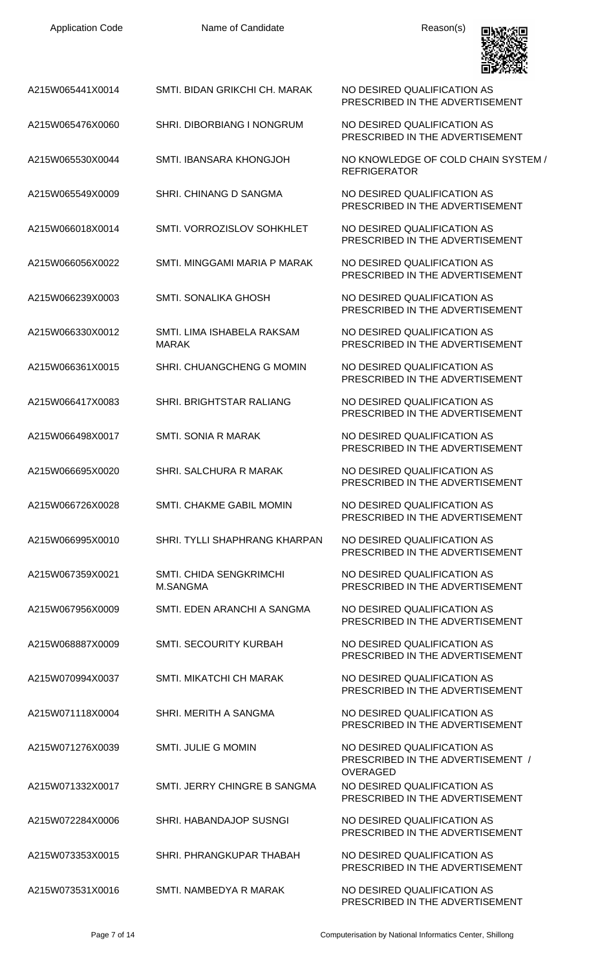| <b>Application Code</b> | Name of Candidate                          | Reason(s)                                                                           |
|-------------------------|--------------------------------------------|-------------------------------------------------------------------------------------|
| A215W065441X0014        | SMTI. BIDAN GRIKCHI CH. MARAK              | NO DESIRED QUALIFICATION AS<br>PRESCRIBED IN THE ADVERTISEMENT                      |
| A215W065476X0060        | <b>SHRI. DIBORBIANG I NONGRUM</b>          | NO DESIRED QUALIFICATION AS<br>PRESCRIBED IN THE ADVERTISEMENT                      |
| A215W065530X0044        | SMTL IBANSARA KHONGJOH                     | NO KNOWLEDGE OF COLD CHAIN SYSTEM /<br><b>REFRIGERATOR</b>                          |
| A215W065549X0009        | SHRI. CHINANG D SANGMA                     | NO DESIRED QUALIFICATION AS<br>PRESCRIBED IN THE ADVERTISEMENT                      |
| A215W066018X0014        | SMTI. VORROZISLOV SOHKHLET                 | NO DESIRED QUALIFICATION AS<br>PRESCRIBED IN THE ADVERTISEMENT                      |
| A215W066056X0022        | SMTI. MINGGAMI MARIA P MARAK               | NO DESIRED QUALIFICATION AS<br>PRESCRIBED IN THE ADVERTISEMENT                      |
| A215W066239X0003        | SMTI. SONALIKA GHOSH                       | NO DESIRED QUALIFICATION AS<br>PRESCRIBED IN THE ADVERTISEMENT                      |
| A215W066330X0012        | SMTI. LIMA ISHABELA RAKSAM<br><b>MARAK</b> | NO DESIRED QUALIFICATION AS<br>PRESCRIBED IN THE ADVERTISEMENT                      |
| A215W066361X0015        | SHRI. CHUANGCHENG G MOMIN                  | NO DESIRED QUALIFICATION AS<br>PRESCRIBED IN THE ADVERTISEMENT                      |
| A215W066417X0083        | SHRI. BRIGHTSTAR RALIANG                   | NO DESIRED QUALIFICATION AS<br>PRESCRIBED IN THE ADVERTISEMENT                      |
| A215W066498X0017        | <b>SMTI. SONIA R MARAK</b>                 | NO DESIRED QUALIFICATION AS<br>PRESCRIBED IN THE ADVERTISEMENT                      |
| A215W066695X0020        | SHRI. SALCHURA R MARAK                     | NO DESIRED QUALIFICATION AS<br>PRESCRIBED IN THE ADVERTISEMENT                      |
| A215W066726X0028        | <b>SMTI. CHAKME GABIL MOMIN</b>            | NO DESIRED QUALIFICATION AS<br>PRESCRIBED IN THE ADVERTISEMENT                      |
| A215W066995X0010        | SHRI. TYLLI SHAPHRANG KHARPAN              | NO DESIRED QUALIFICATION AS<br>PRESCRIBED IN THE ADVERTISEMENT                      |
| A215W067359X0021        | <b>SMTI. CHIDA SENGKRIMCHI</b><br>M.SANGMA | NO DESIRED QUALIFICATION AS<br>PRESCRIBED IN THE ADVERTISEMENT                      |
| A215W067956X0009        | SMTI. EDEN ARANCHI A SANGMA                | NO DESIRED QUALIFICATION AS<br>PRESCRIBED IN THE ADVERTISEMENT                      |
| A215W068887X0009        | SMTI. SECOURITY KURBAH                     | NO DESIRED QUALIFICATION AS<br>PRESCRIBED IN THE ADVERTISEMENT                      |
| A215W070994X0037        | <b>SMTI. MIKATCHI CH MARAK</b>             | NO DESIRED QUALIFICATION AS<br>PRESCRIBED IN THE ADVERTISEMENT                      |
| A215W071118X0004        | SHRI. MERITH A SANGMA                      | NO DESIRED QUALIFICATION AS<br>PRESCRIBED IN THE ADVERTISEMENT                      |
| A215W071276X0039        | SMTI. JULIE G MOMIN                        | NO DESIRED QUALIFICATION AS<br>PRESCRIBED IN THE ADVERTISEMENT /<br><b>OVERAGED</b> |
| A215W071332X0017        | SMTI. JERRY CHINGRE B SANGMA               | NO DESIRED QUALIFICATION AS<br>PRESCRIBED IN THE ADVERTISEMENT                      |
| A215W072284X0006        | SHRI. HABANDAJOP SUSNGI                    | NO DESIRED QUALIFICATION AS<br>PRESCRIBED IN THE ADVERTISEMENT                      |
| A215W073353X0015        | SHRI. PHRANGKUPAR THABAH                   | NO DESIRED QUALIFICATION AS<br>PRESCRIBED IN THE ADVERTISEMENT                      |
| A215W073531X0016        | SMTI. NAMBEDYA R MARAK                     | NO DESIRED QUALIFICATION AS                                                         |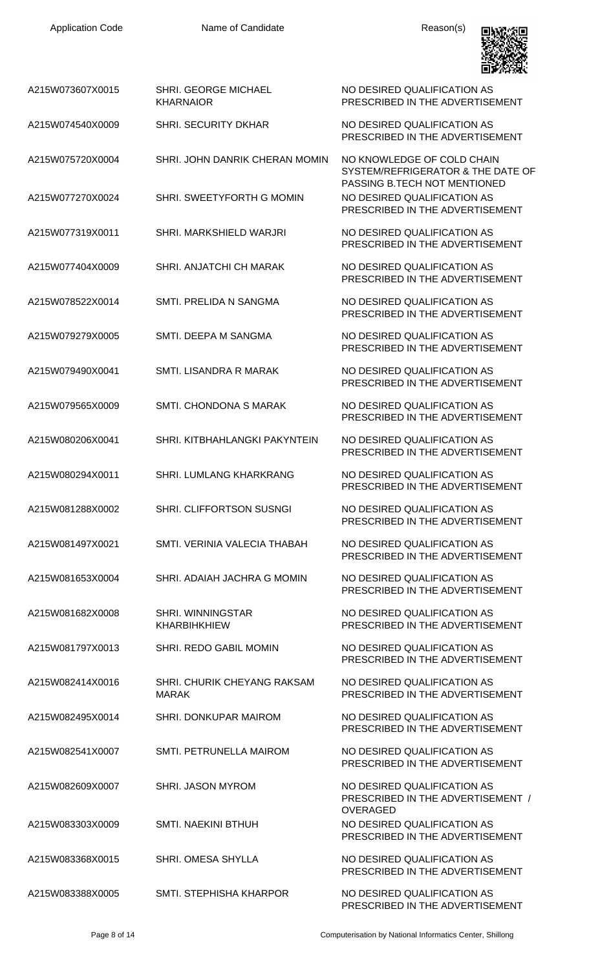

| A215W073607X0015 | <b>SHRI. GEORGE MICHAEL</b><br><b>KHARNAIOR</b>    | NO DESIRED QUALIFICATION AS<br>PRESCRIBED IN THE ADVERTISEMENT                                  |
|------------------|----------------------------------------------------|-------------------------------------------------------------------------------------------------|
| A215W074540X0009 | <b>SHRI. SECURITY DKHAR</b>                        | NO DESIRED QUALIFICATION AS<br>PRESCRIBED IN THE ADVERTISEMENT                                  |
| A215W075720X0004 | SHRI. JOHN DANRIK CHERAN MOMIN                     | NO KNOWLEDGE OF COLD CHAIN<br>SYSTEM/REFRIGERATOR & THE DATE OF<br>PASSING B.TECH NOT MENTIONED |
| A215W077270X0024 | SHRI. SWEETYFORTH G MOMIN                          | NO DESIRED QUALIFICATION AS<br>PRESCRIBED IN THE ADVERTISEMENT                                  |
| A215W077319X0011 | SHRI. MARKSHIELD WARJRI                            | NO DESIRED QUALIFICATION AS<br>PRESCRIBED IN THE ADVERTISEMENT                                  |
| A215W077404X0009 | SHRI. ANJATCHI CH MARAK                            | NO DESIRED QUALIFICATION AS<br>PRESCRIBED IN THE ADVERTISEMENT                                  |
| A215W078522X0014 | SMTI. PRELIDA N SANGMA                             | NO DESIRED QUALIFICATION AS<br>PRESCRIBED IN THE ADVERTISEMENT                                  |
| A215W079279X0005 | SMTI. DEEPA M SANGMA                               | NO DESIRED QUALIFICATION AS<br>PRESCRIBED IN THE ADVERTISEMENT                                  |
| A215W079490X0041 | SMTI. LISANDRA R MARAK                             | NO DESIRED QUALIFICATION AS<br>PRESCRIBED IN THE ADVERTISEMENT                                  |
| A215W079565X0009 | SMTI. CHONDONA S MARAK                             | NO DESIRED QUALIFICATION AS<br>PRESCRIBED IN THE ADVERTISEMENT                                  |
| A215W080206X0041 | SHRI, KITBHAHLANGKI PAKYNTEIN                      | NO DESIRED QUALIFICATION AS<br>PRESCRIBED IN THE ADVERTISEMENT                                  |
| A215W080294X0011 | SHRI, LUMLANG KHARKRANG                            | NO DESIRED QUALIFICATION AS<br>PRESCRIBED IN THE ADVERTISEMENT                                  |
| A215W081288X0002 | SHRI. CLIFFORTSON SUSNGI                           | NO DESIRED QUALIFICATION AS<br>PRESCRIBED IN THE ADVERTISEMENT                                  |
| A215W081497X0021 | SMTI, VERINIA VALECIA THABAH                       | NO DESIRED QUALIFICATION AS<br>PRESCRIBED IN THE ADVERTISEMENT                                  |
| A215W081653X0004 | SHRI. ADAIAH JACHRA G MOMIN                        | NO DESIRED QUALIFICATION AS<br>PRESCRIBED IN THE ADVERTISEMENT                                  |
| A215W081682X0008 | <b>SHRI. WINNINGSTAR</b><br><b>KHARBIHKHIEW</b>    | NO DESIRED QUALIFICATION AS<br>PRESCRIBED IN THE ADVERTISEMENT                                  |
| A215W081797X0013 | SHRI. REDO GABIL MOMIN                             | NO DESIRED QUALIFICATION AS<br>PRESCRIBED IN THE ADVERTISEMENT                                  |
| A215W082414X0016 | <b>SHRI. CHURIK CHEYANG RAKSAM</b><br><b>MARAK</b> | NO DESIRED QUALIFICATION AS<br>PRESCRIBED IN THE ADVERTISEMENT                                  |
| A215W082495X0014 | SHRI. DONKUPAR MAIROM                              | NO DESIRED QUALIFICATION AS<br>PRESCRIBED IN THE ADVERTISEMENT                                  |
| A215W082541X0007 | SMTI. PETRUNELLA MAIROM                            | NO DESIRED QUALIFICATION AS<br>PRESCRIBED IN THE ADVERTISEMENT                                  |
| A215W082609X0007 | SHRI. JASON MYROM                                  | NO DESIRED QUALIFICATION AS<br>PRESCRIBED IN THE ADVERTISEMENT /<br><b>OVERAGED</b>             |
| A215W083303X0009 | <b>SMTI. NAEKINI BTHUH</b>                         | NO DESIRED QUALIFICATION AS<br>PRESCRIBED IN THE ADVERTISEMENT                                  |
| A215W083368X0015 | <b>SHRI. OMESA SHYLLA</b>                          | NO DESIRED QUALIFICATION AS<br>PRESCRIBED IN THE ADVERTISEMENT                                  |
| A215W083388X0005 | SMTI, STEPHISHA KHARPOR                            | NO DESIRED QUALIFICATION AS<br>PRESCRIBED IN THE ADVERTISEMENT                                  |

Page 8 of 14 **Computerisation by National Informatics Center, Shillong**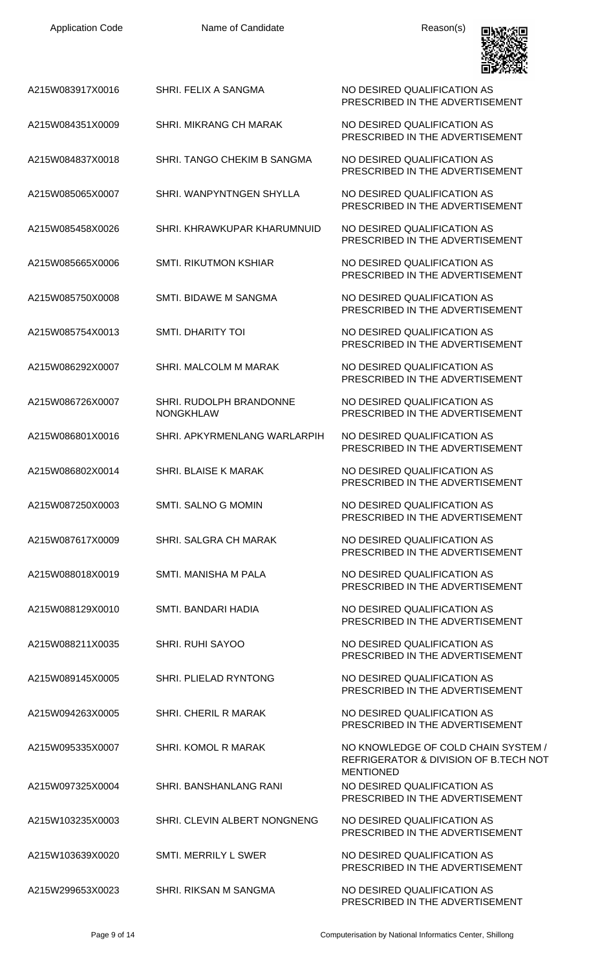| <b>Application Code</b> | Name of Candidate                                  | Reason(s)                                                                          |
|-------------------------|----------------------------------------------------|------------------------------------------------------------------------------------|
| A215W083917X0016        | SHRI. FELIX A SANGMA                               | NO DESIRED QUALIFICATION AS<br>PRESCRIBED IN THE ADVERTISEMENT                     |
| A215W084351X0009        | SHRI. MIKRANG CH MARAK                             | NO DESIRED QUALIFICATION AS<br>PRESCRIBED IN THE ADVERTISEMENT                     |
| A215W084837X0018        | SHRI. TANGO CHEKIM B SANGMA                        | NO DESIRED QUALIFICATION AS<br>PRESCRIBED IN THE ADVERTISEMENT                     |
| A215W085065X0007        | SHRI. WANPYNTNGEN SHYLLA                           | NO DESIRED QUALIFICATION AS<br>PRESCRIBED IN THE ADVERTISEMENT                     |
| A215W085458X0026        | SHRI. KHRAWKUPAR KHARUMNUID                        | NO DESIRED QUALIFICATION AS<br>PRESCRIBED IN THE ADVERTISEMENT                     |
| A215W085665X0006        | <b>SMTI. RIKUTMON KSHIAR</b>                       | NO DESIRED QUALIFICATION AS<br>PRESCRIBED IN THE ADVERTISEMENT                     |
| A215W085750X0008        | SMTI. BIDAWE M SANGMA                              | NO DESIRED QUALIFICATION AS<br>PRESCRIBED IN THE ADVERTISEMENT                     |
| A215W085754X0013        | <b>SMTI. DHARITY TOI</b>                           | NO DESIRED QUALIFICATION AS<br>PRESCRIBED IN THE ADVERTISEMENT                     |
| A215W086292X0007        | SHRI. MALCOLM M MARAK                              | NO DESIRED QUALIFICATION AS<br>PRESCRIBED IN THE ADVERTISEMENT                     |
| A215W086726X0007        | <b>SHRI. RUDOLPH BRANDONNE</b><br><b>NONGKHLAW</b> | NO DESIRED QUALIFICATION AS<br>PRESCRIBED IN THE ADVERTISEMENT                     |
| A215W086801X0016        | SHRI. APKYRMENLANG WARLARPIH                       | NO DESIRED QUALIFICATION AS<br>PRESCRIBED IN THE ADVERTISEMENT                     |
| A215W086802X0014        | SHRI. BLAISE K MARAK                               | NO DESIRED QUALIFICATION AS<br>PRESCRIBED IN THE ADVERTISEMENT                     |
| A215W087250X0003        | SMTI. SALNO G MOMIN                                | NO DESIRED QUALIFICATION AS<br>PRESCRIBED IN THE ADVERTISEMENT                     |
| A215W087617X0009        | SHRI. SALGRA CH MARAK                              | NO DESIRED QUALIFICATION AS<br>PRESCRIBED IN THE ADVERTISEMENT                     |
| A215W088018X0019        | SMTI. MANISHA M PALA                               | NO DESIRED QUALIFICATION AS<br>PRESCRIBED IN THE ADVERTISEMENT                     |
| A215W088129X0010        | SMTI. BANDARI HADIA                                | NO DESIRED QUALIFICATION AS<br>PRESCRIBED IN THE ADVERTISEMENT                     |
| A215W088211X0035        | <b>SHRI. RUHI SAYOO</b>                            | NO DESIRED QUALIFICATION AS<br>PRESCRIBED IN THE ADVERTISEMENT                     |
| A215W089145X0005        | SHRI. PLIELAD RYNTONG                              | NO DESIRED QUALIFICATION AS<br>PRESCRIBED IN THE ADVERTISEMENT                     |
| A215W094263X0005        | <b>SHRI. CHERIL R MARAK</b>                        | NO DESIRED QUALIFICATION AS<br>PRESCRIBED IN THE ADVERTISEMENT                     |
| A215W095335X0007        | <b>SHRI, KOMOL R MARAK</b>                         | NO KNOWLEDGE OF COLD CHAIN SYSTEM /<br>REFRIGERATOR & DIVISION OF B.TECH NOT       |
| A215W097325X0004        | <b>SHRI, BANSHANLANG RANI</b>                      | <b>MENTIONED</b><br>NO DESIRED QUALIFICATION AS<br>PRESCRIBED IN THE ADVERTISEMENT |
| A215W103235X0003        | SHRI. CLEVIN ALBERT NONGNENG                       | NO DESIRED QUALIFICATION AS<br>PRESCRIBED IN THE ADVERTISEMENT                     |
| A215W103639X0020        | <b>SMTI. MERRILY L SWER</b>                        | NO DESIRED QUALIFICATION AS<br>PRESCRIBED IN THE ADVERTISEMENT                     |
| A215W299653X0023        | SHRI. RIKSAN M SANGMA                              | NO DESIRED QUALIFICATION AS<br>PRESCRIBED IN THE ADVERTISEMENT                     |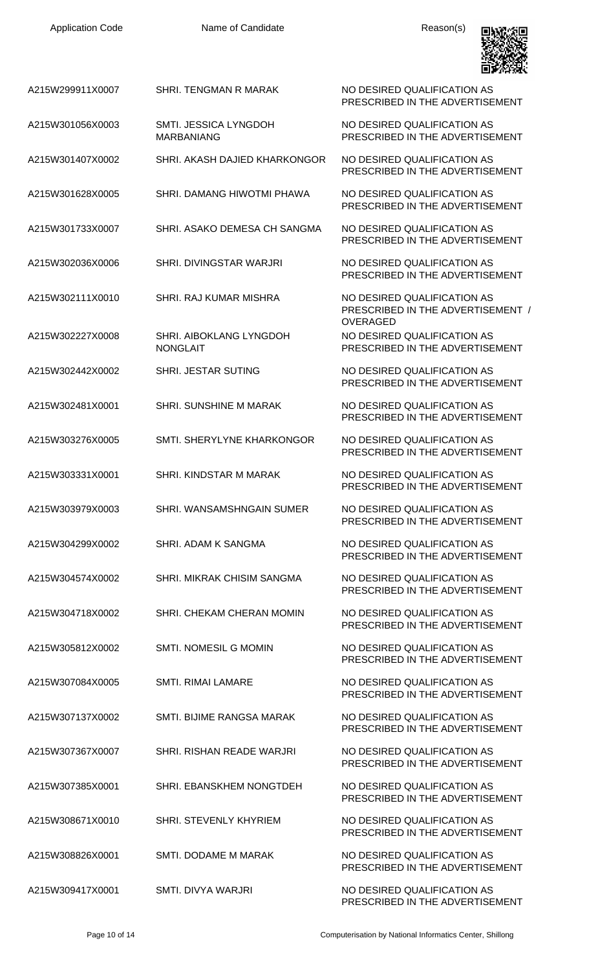Name of Candidate **Reason(s)** 



| A215W299911X0007 | SHRI. TENGMAN R MARAK                      | NO DESIRED QUALIFICATION AS<br>PRESCRIBED IN THE ADVERTISEMENT                    |
|------------------|--------------------------------------------|-----------------------------------------------------------------------------------|
| A215W301056X0003 | SMTI. JESSICA LYNGDOH<br><b>MARBANIANG</b> | NO DESIRED QUALIFICATION AS<br>PRESCRIBED IN THE ADVERTISEMENT                    |
| A215W301407X0002 | SHRI. AKASH DAJIED KHARKONGOR              | NO DESIRED QUALIFICATION AS<br>PRESCRIBED IN THE ADVERTISEMENT                    |
| A215W301628X0005 | SHRI. DAMANG HIWOTMI PHAWA                 | NO DESIRED QUALIFICATION AS<br>PRESCRIBED IN THE ADVERTISEMENT                    |
| A215W301733X0007 | SHRI. ASAKO DEMESA CH SANGMA               | NO DESIRED QUALIFICATION AS<br>PRESCRIBED IN THE ADVERTISEMENT                    |
| A215W302036X0006 | SHRI. DIVINGSTAR WARJRI                    | NO DESIRED QUALIFICATION AS<br>PRESCRIBED IN THE ADVERTISEMENT                    |
| A215W302111X0010 | SHRI, RAJ KUMAR MISHRA                     | NO DESIRED QUALIFICATION AS<br>PRESCRIBED IN THE ADVERTISEMENT /                  |
| A215W302227X0008 | SHRI. AIBOKLANG LYNGDOH<br><b>NONGLAIT</b> | <b>OVERAGED</b><br>NO DESIRED QUALIFICATION AS<br>PRESCRIBED IN THE ADVERTISEMENT |
| A215W302442X0002 | <b>SHRI. JESTAR SUTING</b>                 | NO DESIRED QUALIFICATION AS<br>PRESCRIBED IN THE ADVERTISEMENT                    |
| A215W302481X0001 | SHRI. SUNSHINE M MARAK                     | NO DESIRED QUALIFICATION AS<br>PRESCRIBED IN THE ADVERTISEMENT                    |
| A215W303276X0005 | SMTI. SHERYLYNE KHARKONGOR                 | NO DESIRED QUALIFICATION AS<br>PRESCRIBED IN THE ADVERTISEMENT                    |
| A215W303331X0001 | SHRI, KINDSTAR M MARAK                     | NO DESIRED QUALIFICATION AS<br>PRESCRIBED IN THE ADVERTISEMENT                    |
| A215W303979X0003 | SHRI. WANSAMSHNGAIN SUMER                  | NO DESIRED OUALIFICATION AS<br>PRESCRIBED IN THE ADVERTISEMENT                    |
| A215W304299X0002 | SHRI. ADAM K SANGMA                        | NO DESIRED QUALIFICATION AS<br>PRESCRIBED IN THE ADVERTISEMENT                    |
| A215W304574X0002 | SHRI. MIKRAK CHISIM SANGMA                 | NO DESIRED QUALIFICATION AS<br>PRESCRIBED IN THE ADVERTISEMENT                    |
| A215W304718X0002 | SHRI. CHEKAM CHERAN MOMIN                  | NO DESIRED QUALIFICATION AS<br>PRESCRIBED IN THE ADVERTISEMENT                    |
| A215W305812X0002 | SMTI. NOMESIL G MOMIN                      | NO DESIRED QUALIFICATION AS<br>PRESCRIBED IN THE ADVERTISEMENT                    |
| A215W307084X0005 | <b>SMTI. RIMAI LAMARE</b>                  | NO DESIRED QUALIFICATION AS<br>PRESCRIBED IN THE ADVERTISEMENT                    |
| A215W307137X0002 | SMTI. BIJIME RANGSA MARAK                  | NO DESIRED QUALIFICATION AS<br>PRESCRIBED IN THE ADVERTISEMENT                    |
| A215W307367X0007 | SHRI. RISHAN READE WARJRI                  | NO DESIRED QUALIFICATION AS<br>PRESCRIBED IN THE ADVERTISEMENT                    |
| A215W307385X0001 | SHRI. EBANSKHEM NONGTDEH                   | NO DESIRED QUALIFICATION AS<br>PRESCRIBED IN THE ADVERTISEMENT                    |
| A215W308671X0010 | <b>SHRI. STEVENLY KHYRIEM</b>              | NO DESIRED QUALIFICATION AS<br>PRESCRIBED IN THE ADVERTISEMENT                    |
| A215W308826X0001 | SMTI. DODAME M MARAK                       | NO DESIRED QUALIFICATION AS<br>PRESCRIBED IN THE ADVERTISEMENT                    |
| A215W309417X0001 | SMTI. DIVYA WARJRI                         | NO DESIRED QUALIFICATION AS<br>PRESCRIBED IN THE ADVERTISEMENT                    |

Page 10 of 14 Computerisation by National Informatics Center, Shillong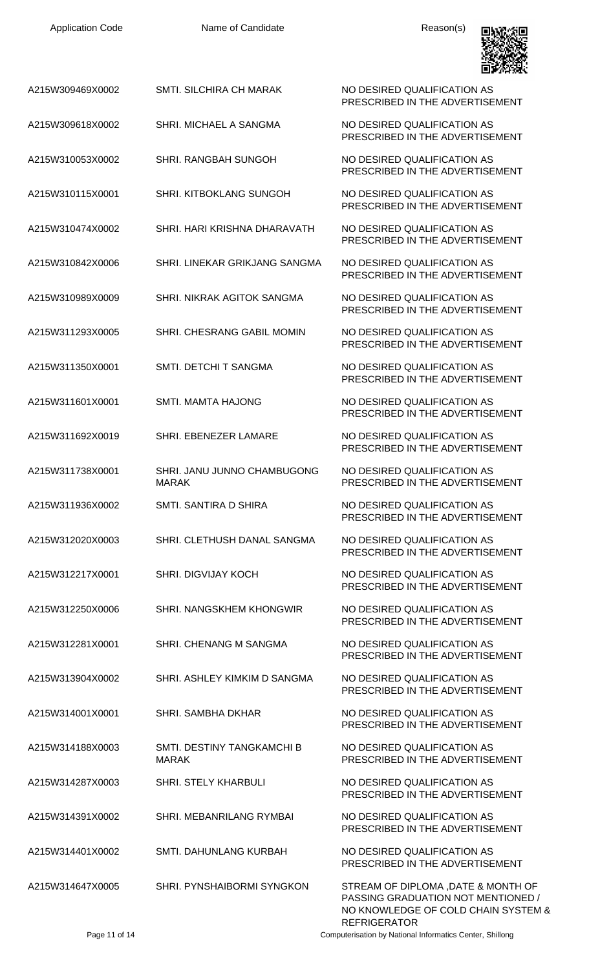| <b>Application Code</b> | Name of Candidate                           | Reason(s)                                                                 |
|-------------------------|---------------------------------------------|---------------------------------------------------------------------------|
| A215W309469X0002        | <b>SMTI. SILCHIRA CH MARAK</b>              | NO DESIRED QUALIFICATION AS<br>PRESCRIBED IN THE ADVERTISEMENT            |
| A215W309618X0002        | SHRI. MICHAEL A SANGMA                      | NO DESIRED QUALIFICATION AS<br>PRESCRIBED IN THE ADVERTISEMENT            |
| A215W310053X0002        | SHRI, RANGBAH SUNGOH                        | NO DESIRED QUALIFICATION AS<br>PRESCRIBED IN THE ADVERTISEMENT            |
| A215W310115X0001        | <b>SHRI. KITBOKLANG SUNGOH</b>              | NO DESIRED QUALIFICATION AS<br>PRESCRIBED IN THE ADVERTISEMENT            |
| A215W310474X0002        | SHRI. HARI KRISHNA DHARAVATH                | NO DESIRED QUALIFICATION AS<br>PRESCRIBED IN THE ADVERTISEMENT            |
| A215W310842X0006        | <b>SHRI. LINEKAR GRIKJANG SANGMA</b>        | NO DESIRED QUALIFICATION AS<br>PRESCRIBED IN THE ADVERTISEMENT            |
| A215W310989X0009        | SHRI, NIKRAK AGITOK SANGMA                  | NO DESIRED QUALIFICATION AS<br>PRESCRIBED IN THE ADVERTISEMENT            |
| A215W311293X0005        | SHRI. CHESRANG GABIL MOMIN                  | NO DESIRED QUALIFICATION AS<br>PRESCRIBED IN THE ADVERTISEMENT            |
| A215W311350X0001        | SMTI. DETCHI T SANGMA                       | NO DESIRED QUALIFICATION AS<br>PRESCRIBED IN THE ADVERTISEMENT            |
| A215W311601X0001        | <b>SMTI. MAMTA HAJONG</b>                   | NO DESIRED QUALIFICATION AS<br>PRESCRIBED IN THE ADVERTISEMENT            |
| A215W311692X0019        | SHRI. EBENEZER LAMARE                       | NO DESIRED QUALIFICATION AS<br>PRESCRIBED IN THE ADVERTISEMENT            |
| A215W311738X0001        | SHRI. JANU JUNNO CHAMBUGONG<br><b>MARAK</b> | NO DESIRED QUALIFICATION AS<br>PRESCRIBED IN THE ADVERTISEMENT            |
| A215W311936X0002        | SMTI. SANTIRA D SHIRA                       | NO DESIRED QUALIFICATION AS<br>PRESCRIBED IN THE ADVERTISEMENT            |
| A215W312020X0003        | SHRI. CLETHUSH DANAL SANGMA                 | NO DESIRED QUALIFICATION AS<br>PRESCRIBED IN THE ADVERTISEMENT            |
| A215W312217X0001        | <b>SHRI. DIGVIJAY KOCH</b>                  | NO DESIRED QUALIFICATION AS<br>PRESCRIBED IN THE ADVERTISEMENT            |
| A215W312250X0006        | SHRI. NANGSKHEM KHONGWIR                    | NO DESIRED QUALIFICATION AS<br>PRESCRIBED IN THE ADVERTISEMENT            |
| A215W312281X0001        | SHRI. CHENANG M SANGMA                      | NO DESIRED QUALIFICATION AS<br>PRESCRIBED IN THE ADVERTISEMENT            |
| A215W313904X0002        | SHRI. ASHLEY KIMKIM D SANGMA                | NO DESIRED QUALIFICATION AS<br>PRESCRIBED IN THE ADVERTISEMENT            |
| A215W314001X0001        | <b>SHRI. SAMBHA DKHAR</b>                   | NO DESIRED QUALIFICATION AS<br>PRESCRIBED IN THE ADVERTISEMENT            |
| A215W314188X0003        | SMTI. DESTINY TANGKAMCHI B<br><b>MARAK</b>  | NO DESIRED QUALIFICATION AS<br>PRESCRIBED IN THE ADVERTISEMENT            |
| A215W314287X0003        | <b>SHRI. STELY KHARBULI</b>                 | NO DESIRED QUALIFICATION AS<br>PRESCRIBED IN THE ADVERTISEMENT            |
| A215W314391X0002        | SHRI, MEBANRILANG RYMBAI                    | NO DESIRED QUALIFICATION AS<br>PRESCRIBED IN THE ADVERTISEMENT            |
| A215W314401X0002        | SMTI. DAHUNLANG KURBAH                      | NO DESIRED QUALIFICATION AS<br>PRESCRIBED IN THE ADVERTISEMENT            |
| A215W314647X0005        | SHRI. PYNSHAIBORMI SYNGKON                  | STREAM OF DIPLOMA , DATE & MONTH OF<br>PASSING GRADUATION NOT MENTIONED / |

Page 11 of 14 Computerisation by National Informatics Center, Shillong

REFRIGERATOR

NO KNOWLEDGE OF COLD CHAIN SYSTEM &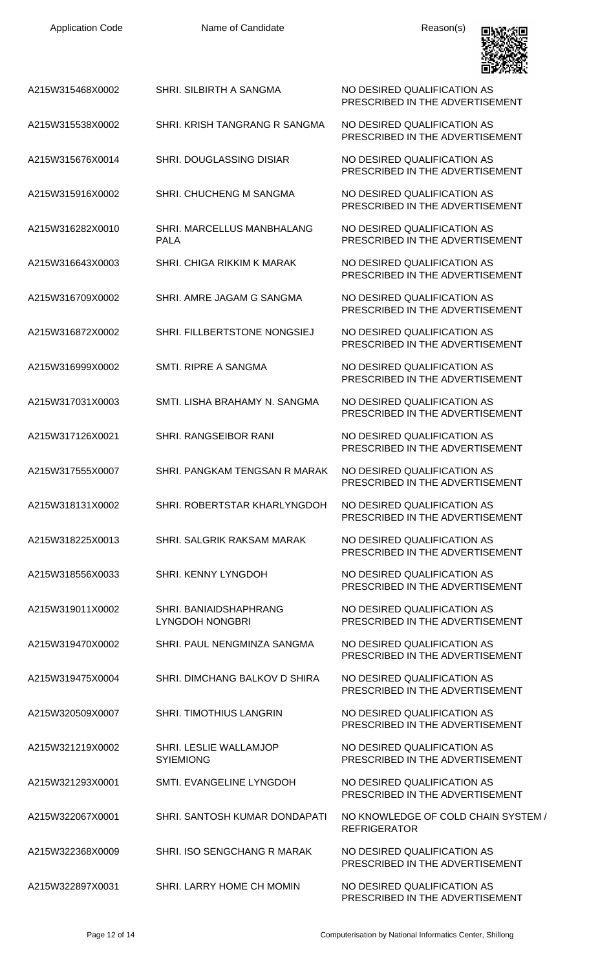| <b>Application Code</b> | Name of Candidate                                | Reason(s)                                                      |
|-------------------------|--------------------------------------------------|----------------------------------------------------------------|
| A215W315468X0002        | SHRI. SILBIRTH A SANGMA                          | NO DESIRED QUALIFICATION AS<br>PRESCRIBED IN THE ADVERTISEMENT |
| A215W315538X0002        | SHRI. KRISH TANGRANG R SANGMA                    | NO DESIRED QUALIFICATION AS<br>PRESCRIBED IN THE ADVERTISEMENT |
| A215W315676X0014        | SHRI. DOUGLASSING DISIAR                         | NO DESIRED QUALIFICATION AS<br>PRESCRIBED IN THE ADVERTISEMENT |
| A215W315916X0002        | SHRI. CHUCHENG M SANGMA                          | NO DESIRED QUALIFICATION AS<br>PRESCRIBED IN THE ADVERTISEMENT |
| A215W316282X0010        | SHRI. MARCELLUS MANBHALANG<br><b>PALA</b>        | NO DESIRED QUALIFICATION AS<br>PRESCRIBED IN THE ADVERTISEMENT |
| A215W316643X0003        | SHRI. CHIGA RIKKIM K MARAK                       | NO DESIRED QUALIFICATION AS<br>PRESCRIBED IN THE ADVERTISEMENT |
| A215W316709X0002        | SHRI. AMRE JAGAM G SANGMA                        | NO DESIRED QUALIFICATION AS<br>PRESCRIBED IN THE ADVERTISEMENT |
| A215W316872X0002        | SHRI. FILLBERTSTONE NONGSIEJ                     | NO DESIRED QUALIFICATION AS<br>PRESCRIBED IN THE ADVERTISEMENT |
| A215W316999X0002        | SMTI. RIPRE A SANGMA                             | NO DESIRED QUALIFICATION AS<br>PRESCRIBED IN THE ADVERTISEMENT |
| A215W317031X0003        | SMTI, LISHA BRAHAMY N. SANGMA                    | NO DESIRED QUALIFICATION AS<br>PRESCRIBED IN THE ADVERTISEMENT |
| A215W317126X0021        | SHRI. RANGSEIBOR RANI                            | NO DESIRED QUALIFICATION AS<br>PRESCRIBED IN THE ADVERTISEMENT |
| A215W317555X0007        | SHRI. PANGKAM TENGSAN R MARAK                    | NO DESIRED QUALIFICATION AS<br>PRESCRIBED IN THE ADVERTISEMENT |
| A215W318131X0002        | SHRI. ROBERTSTAR KHARLYNGDOH                     | NO DESIRED QUALIFICATION AS<br>PRESCRIBED IN THE ADVERTISEMENT |
| A215W318225X0013        | SHRI. SALGRIK RAKSAM MARAK                       | NO DESIRED QUALIFICATION AS<br>PRESCRIBED IN THE ADVERTISEMENT |
| A215W318556X0033        | SHRI. KENNY LYNGDOH                              | NO DESIRED QUALIFICATION AS<br>PRESCRIBED IN THE ADVERTISEMENT |
| A215W319011X0002        | SHRI. BANIAIDSHAPHRANG<br><b>LYNGDOH NONGBRI</b> | NO DESIRED QUALIFICATION AS<br>PRESCRIBED IN THE ADVERTISEMENT |
| A215W319470X0002        | SHRI. PAUL NENGMINZA SANGMA                      | NO DESIRED QUALIFICATION AS<br>PRESCRIBED IN THE ADVERTISEMENT |
| A215W319475X0004        | SHRI. DIMCHANG BALKOV D SHIRA                    | NO DESIRED QUALIFICATION AS<br>PRESCRIBED IN THE ADVERTISEMENT |
| A215W320509X0007        | SHRI. TIMOTHIUS LANGRIN                          | NO DESIRED QUALIFICATION AS<br>PRESCRIBED IN THE ADVERTISEMENT |
| A215W321219X0002        | SHRI. LESLIE WALLAMJOP<br><b>SYIEMIONG</b>       | NO DESIRED QUALIFICATION AS<br>PRESCRIBED IN THE ADVERTISEMENT |
| A215W321293X0001        | SMTI. EVANGELINE LYNGDOH                         | NO DESIRED QUALIFICATION AS<br>PRESCRIBED IN THE ADVERTISEMENT |
| A215W322067X0001        | SHRI. SANTOSH KUMAR DONDAPATI                    | NO KNOWLEDGE OF COLD CHAIN SYSTEM /<br><b>REFRIGERATOR</b>     |
| A215W322368X0009        | SHRI. ISO SENGCHANG R MARAK                      | NO DESIRED QUALIFICATION AS<br>PRESCRIBED IN THE ADVERTISEMENT |
| A215W322897X0031        | SHRI. LARRY HOME CH MOMIN                        | NO DESIRED QUALIFICATION AS                                    |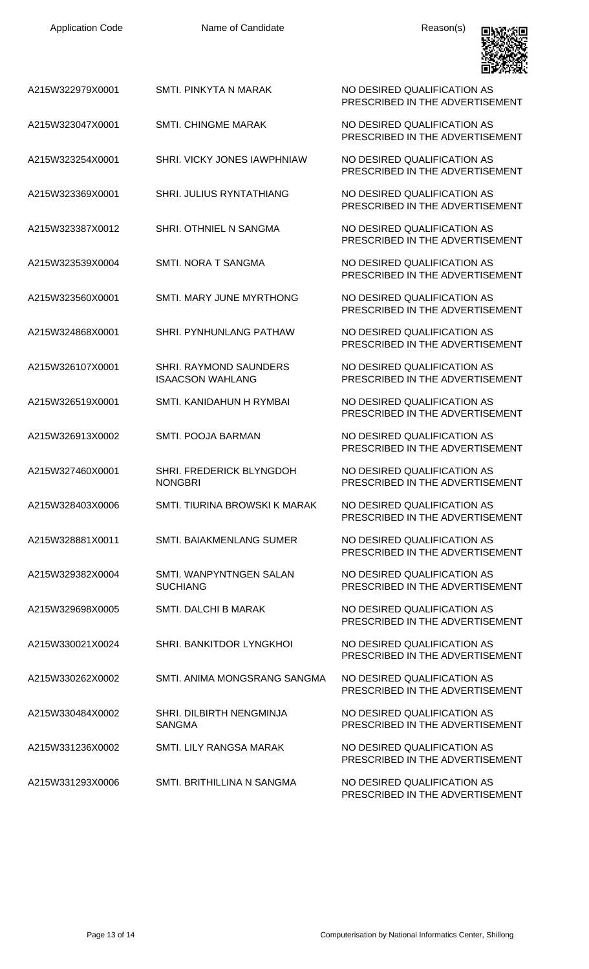| <b>Application Code</b> | Name of Candidate                                 | Reason(s)                                                      |
|-------------------------|---------------------------------------------------|----------------------------------------------------------------|
| A215W322979X0001        | SMTI. PINKYTA N MARAK                             | NO DESIRED QUALIFICATION AS<br>PRESCRIBED IN THE ADVERTISEMENT |
| A215W323047X0001        | <b>SMTI. CHINGME MARAK</b>                        | NO DESIRED QUALIFICATION AS<br>PRESCRIBED IN THE ADVERTISEMENT |
| A215W323254X0001        | SHRI. VICKY JONES IAWPHNIAW                       | NO DESIRED QUALIFICATION AS<br>PRESCRIBED IN THE ADVERTISEMENT |
| A215W323369X0001        | SHRI. JULIUS RYNTATHIANG                          | NO DESIRED QUALIFICATION AS<br>PRESCRIBED IN THE ADVERTISEMENT |
| A215W323387X0012        | SHRI. OTHNIEL N SANGMA                            | NO DESIRED QUALIFICATION AS<br>PRESCRIBED IN THE ADVERTISEMENT |
| A215W323539X0004        | SMTI. NORA T SANGMA                               | NO DESIRED QUALIFICATION AS<br>PRESCRIBED IN THE ADVERTISEMENT |
| A215W323560X0001        | SMTI. MARY JUNE MYRTHONG                          | NO DESIRED QUALIFICATION AS<br>PRESCRIBED IN THE ADVERTISEMENT |
| A215W324868X0001        | SHRI. PYNHUNLANG PATHAW                           | NO DESIRED QUALIFICATION AS<br>PRESCRIBED IN THE ADVERTISEMENT |
| A215W326107X0001        | SHRI. RAYMOND SAUNDERS<br><b>ISAACSON WAHLANG</b> | NO DESIRED QUALIFICATION AS<br>PRESCRIBED IN THE ADVERTISEMENT |
| A215W326519X0001        | SMTI. KANIDAHUN H RYMBAI                          | NO DESIRED QUALIFICATION AS<br>PRESCRIBED IN THE ADVERTISEMENT |
| A215W326913X0002        | <b>SMTI. POOJA BARMAN</b>                         | NO DESIRED QUALIFICATION AS<br>PRESCRIBED IN THE ADVERTISEMENT |
| A215W327460X0001        | SHRI. FREDERICK BLYNGDOH<br><b>NONGBRI</b>        | NO DESIRED QUALIFICATION AS<br>PRESCRIBED IN THE ADVERTISEMENT |
| A215W328403X0006        | SMTI. TIURINA BROWSKI K MARAK                     | NO DESIRED QUALIFICATION AS<br>PRESCRIBED IN THE ADVERTISEMENT |
| A215W328881X0011        | <b>SMTI. BAIAKMENLANG SUMER</b>                   | NO DESIRED QUALIFICATION AS<br>PRESCRIBED IN THE ADVERTISEMENT |
| A215W329382X0004        | SMTL WANPYNTNGEN SALAN<br><b>SUCHIANG</b>         | NO DESIRED QUALIFICATION AS<br>PRESCRIBED IN THE ADVERTISEMENT |
| A215W329698X0005        | SMTI. DALCHI B MARAK                              | NO DESIRED QUALIFICATION AS<br>PRESCRIBED IN THE ADVERTISEMENT |
| A215W330021X0024        | <b>SHRI. BANKITDOR LYNGKHOI</b>                   | NO DESIRED QUALIFICATION AS<br>PRESCRIBED IN THE ADVERTISEMENT |
| A215W330262X0002        | SMTI. ANIMA MONGSRANG SANGMA                      | NO DESIRED QUALIFICATION AS<br>PRESCRIBED IN THE ADVERTISEMENT |
| A215W330484X0002        | <b>SHRI. DILBIRTH NENGMINJA</b><br><b>SANGMA</b>  | NO DESIRED QUALIFICATION AS<br>PRESCRIBED IN THE ADVERTISEMENT |
| A215W331236X0002        | SMTI. LILY RANGSA MARAK                           | NO DESIRED QUALIFICATION AS<br>PRESCRIBED IN THE ADVERTISEMENT |
| A215W331293X0006        | SMTI. BRITHILLINA N SANGMA                        | NO DESIRED QUALIFICATION AS<br>PRESCRIBED IN THE ADVERTISEMENT |

Application Code **Name of Candidate Name of Candidate** Reason(s)